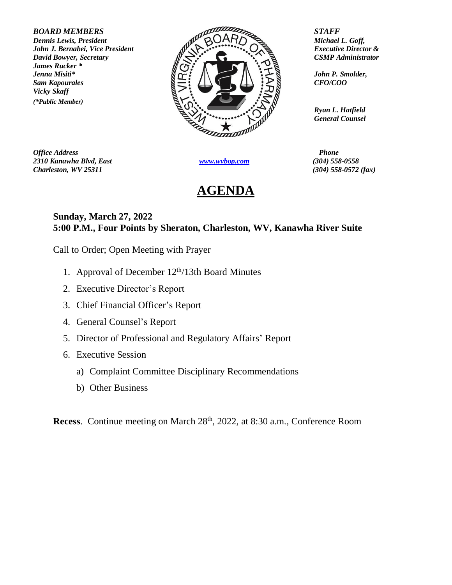*James Rucker \* Vicky Skaff (\*Public Member)*



*Office Address Phone 2310 Kanawha Blvd, East [www.wvbop.com](http://www.wvbop.com/) (304) 558-0558 Charleston, WV 25311 (304) 558-0572 (fax)*

## **AGENDA**

*Ryan L. Hatfield General Counsel*

## **Sunday, March 27, 2022 5:00 P.M., Four Points by Sheraton, Charleston, WV, Kanawha River Suite**

Call to Order; Open Meeting with Prayer

- 1. Approval of December  $12<sup>th</sup>/13th$  Board Minutes
- 2. Executive Director's Report
- 3. Chief Financial Officer's Report
- 4. General Counsel's Report
- 5. Director of Professional and Regulatory Affairs' Report
- 6. Executive Session
	- a) Complaint Committee Disciplinary Recommendations
	- b) Other Business

**Recess**. Continue meeting on March 28<sup>th</sup>, 2022, at 8:30 a.m., Conference Room